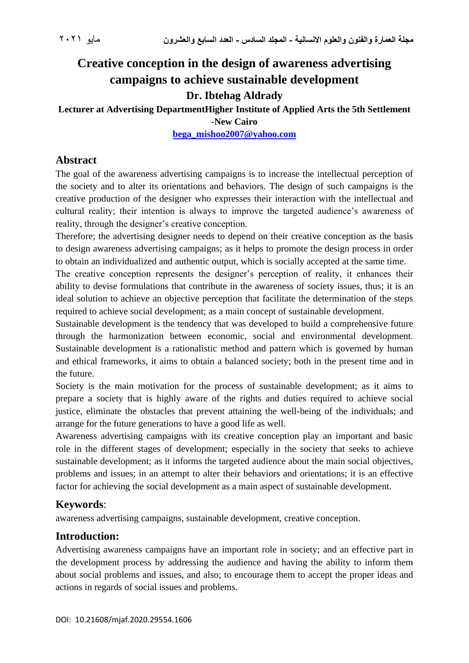# **Creative conception in the design of awareness advertising campaigns to achieve sustainable development**

# **Dr. Ibtehag Aldrady**

**Lecturer at Advertising DepartmentHigher Institute of Applied Arts the 5th Settlement -New Cairo**

**[bega\\_mishoo2007@yahoo.com](mailto:bega_mishoo2007@yahoo.com)**

# **Abstract**

The goal of the awareness advertising campaigns is to increase the intellectual perception of the society and to alter its orientations and behaviors. The design of such campaigns is the creative production of the designer who expresses their interaction with the intellectual and cultural reality; their intention is always to improve the targeted audience's awareness of reality, through the designer's creative conception.

Therefore; the advertising designer needs to depend on their creative conception as the basis to design awareness advertising campaigns; as it helps to promote the design process in order to obtain an individualized and authentic output, which is socially accepted at the same time.

The creative conception represents the designer's perception of reality, it enhances their ability to devise formulations that contribute in the awareness of society issues, thus; it is an ideal solution to achieve an objective perception that facilitate the determination of the steps required to achieve social development; as a main concept of sustainable development.

Sustainable development is the tendency that was developed to build a comprehensive future through the harmonization between economic, social and environmental development. Sustainable development is a rationalistic method and pattern which is governed by human and ethical frameworks, it aims to obtain a balanced society; both in the present time and in the future.

Society is the main motivation for the process of sustainable development; as it aims to prepare a society that is highly aware of the rights and duties required to achieve social justice, eliminate the obstacles that prevent attaining the well-being of the individuals; and arrange for the future generations to have a good life as well.

Awareness advertising campaigns with its creative conception play an important and basic role in the different stages of development; especially in the society that seeks to achieve sustainable development; as it informs the targeted audience about the main social objectives, problems and issues; in an attempt to alter their behaviors and orientations; it is an effective factor for achieving the social development as a main aspect of sustainable development.

# **Keywords**:

awareness advertising campaigns, sustainable development, creative conception.

### **Introduction:**

Advertising awareness campaigns have an important role in society; and an effective part in the development process by addressing the audience and having the ability to inform them about social problems and issues, and also; to encourage them to accept the proper ideas and actions in regards of social issues and problems.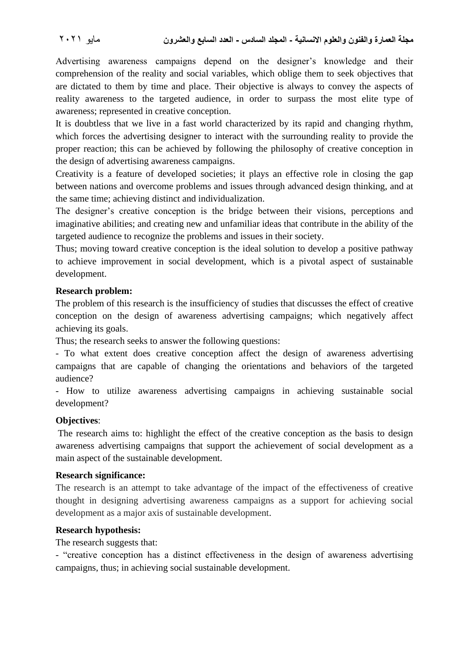Advertising awareness campaigns depend on the designer's knowledge and their comprehension of the reality and social variables, which oblige them to seek objectives that are dictated to them by time and place. Their objective is always to convey the aspects of reality awareness to the targeted audience, in order to surpass the most elite type of awareness; represented in creative conception.

It is doubtless that we live in a fast world characterized by its rapid and changing rhythm, which forces the advertising designer to interact with the surrounding reality to provide the proper reaction; this can be achieved by following the philosophy of creative conception in the design of advertising awareness campaigns.

Creativity is a feature of developed societies; it plays an effective role in closing the gap between nations and overcome problems and issues through advanced design thinking, and at the same time; achieving distinct and individualization.

The designer's creative conception is the bridge between their visions, perceptions and imaginative abilities; and creating new and unfamiliar ideas that contribute in the ability of the targeted audience to recognize the problems and issues in their society.

Thus; moving toward creative conception is the ideal solution to develop a positive pathway to achieve improvement in social development, which is a pivotal aspect of sustainable development.

#### **Research problem:**

The problem of this research is the insufficiency of studies that discusses the effect of creative conception on the design of awareness advertising campaigns; which negatively affect achieving its goals.

Thus; the research seeks to answer the following questions:

- To what extent does creative conception affect the design of awareness advertising campaigns that are capable of changing the orientations and behaviors of the targeted audience?

- How to utilize awareness advertising campaigns in achieving sustainable social development?

#### **Objectives**:

The research aims to: highlight the effect of the creative conception as the basis to design awareness advertising campaigns that support the achievement of social development as a main aspect of the sustainable development.

#### **Research significance:**

The research is an attempt to take advantage of the impact of the effectiveness of creative thought in designing advertising awareness campaigns as a support for achieving social development as a major axis of sustainable development.

#### **Research hypothesis:**

The research suggests that:

- "creative conception has a distinct effectiveness in the design of awareness advertising campaigns, thus; in achieving social sustainable development.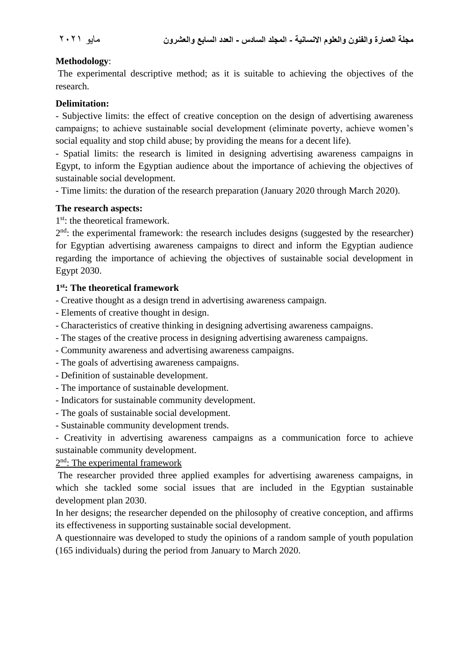#### **Methodology**:

The experimental descriptive method; as it is suitable to achieving the objectives of the research.

#### **Delimitation:**

- Subjective limits: the effect of creative conception on the design of advertising awareness campaigns; to achieve sustainable social development (eliminate poverty, achieve women's social equality and stop child abuse; by providing the means for a decent life).

- Spatial limits: the research is limited in designing advertising awareness campaigns in Egypt, to inform the Egyptian audience about the importance of achieving the objectives of sustainable social development.

- Time limits: the duration of the research preparation (January 2020 through March 2020).

#### **The research aspects:**

1<sup>st</sup>: the theoretical framework.

 $2<sup>nd</sup>$ : the experimental framework: the research includes designs (suggested by the researcher) for Egyptian advertising awareness campaigns to direct and inform the Egyptian audience regarding the importance of achieving the objectives of sustainable social development in Egypt 2030.

#### **1 st: The theoretical framework**

- Creative thought as a design trend in advertising awareness campaign.

- Elements of creative thought in design.
- Characteristics of creative thinking in designing advertising awareness campaigns.
- The stages of the creative process in designing advertising awareness campaigns.
- Community awareness and advertising awareness campaigns.
- The goals of advertising awareness campaigns.
- Definition of sustainable development.
- The importance of sustainable development.
- Indicators for sustainable community development.
- The goals of sustainable social development.
- Sustainable community development trends.

- Creativity in advertising awareness campaigns as a communication force to achieve sustainable community development.

#### 2<sup>nd</sup>: The experimental framework

The researcher provided three applied examples for advertising awareness campaigns, in which she tackled some social issues that are included in the Egyptian sustainable development plan 2030.

In her designs; the researcher depended on the philosophy of creative conception, and affirms its effectiveness in supporting sustainable social development.

A questionnaire was developed to study the opinions of a random sample of youth population (165 individuals) during the period from January to March 2020.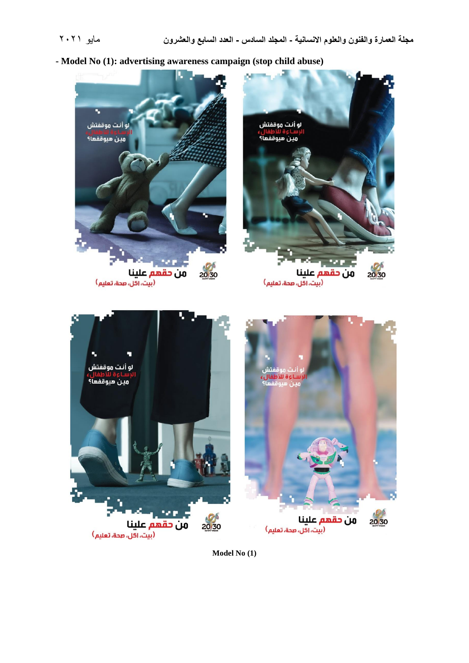**- Model No (1): advertising awareness campaign (stop child abuse)**



**Model No (1)**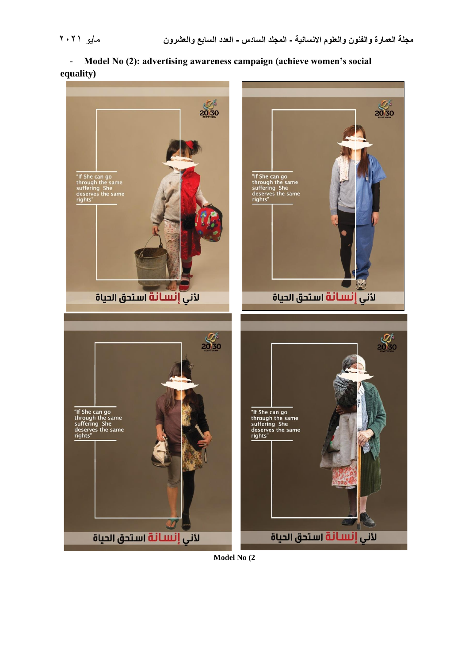- **Model No (2): advertising awareness campaign (achieve women's social equality)**



**Model No (2**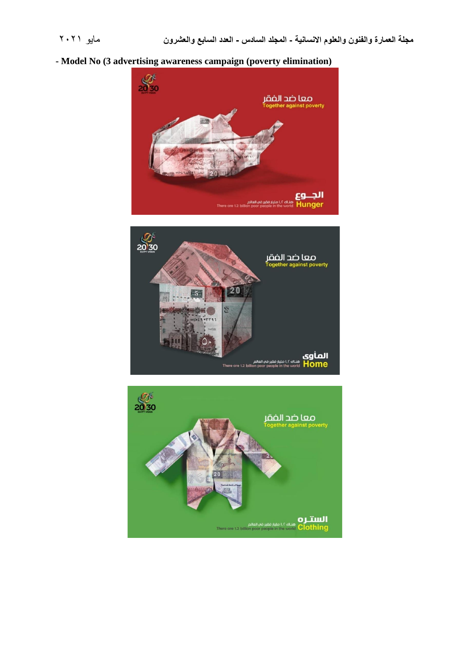# **- Model No (3 advertising awareness campaign (poverty elimination)**





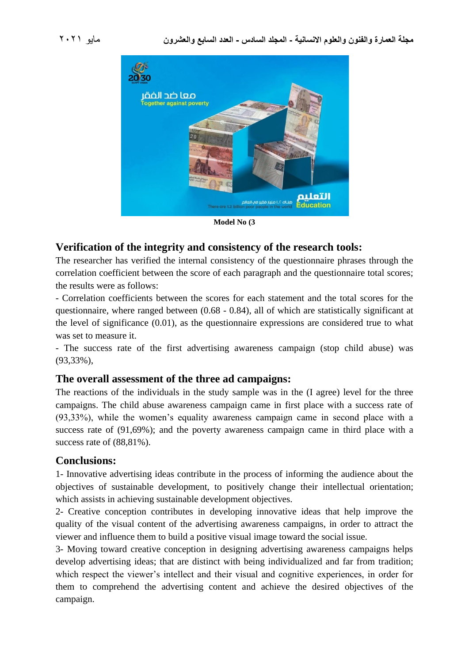

**Model No (3**

# **Verification of the integrity and consistency of the research tools:**

The researcher has verified the internal consistency of the questionnaire phrases through the correlation coefficient between the score of each paragraph and the questionnaire total scores; the results were as follows:

- Correlation coefficients between the scores for each statement and the total scores for the questionnaire, where ranged between (0.68 - 0.84), all of which are statistically significant at the level of significance (0.01), as the questionnaire expressions are considered true to what was set to measure it.

- The success rate of the first advertising awareness campaign (stop child abuse) was (93,33%),

# **The overall assessment of the three ad campaigns:**

The reactions of the individuals in the study sample was in the (I agree) level for the three campaigns. The child abuse awareness campaign came in first place with a success rate of (93,33%), while the women's equality awareness campaign came in second place with a success rate of (91,69%); and the poverty awareness campaign came in third place with a success rate of  $(88,81\%)$ .

### **Conclusions:**

1- Innovative advertising ideas contribute in the process of informing the audience about the objectives of sustainable development, to positively change their intellectual orientation; which assists in achieving sustainable development objectives.

2- Creative conception contributes in developing innovative ideas that help improve the quality of the visual content of the advertising awareness campaigns, in order to attract the viewer and influence them to build a positive visual image toward the social issue.

3- Moving toward creative conception in designing advertising awareness campaigns helps develop advertising ideas; that are distinct with being individualized and far from tradition; which respect the viewer's intellect and their visual and cognitive experiences, in order for them to comprehend the advertising content and achieve the desired objectives of the campaign.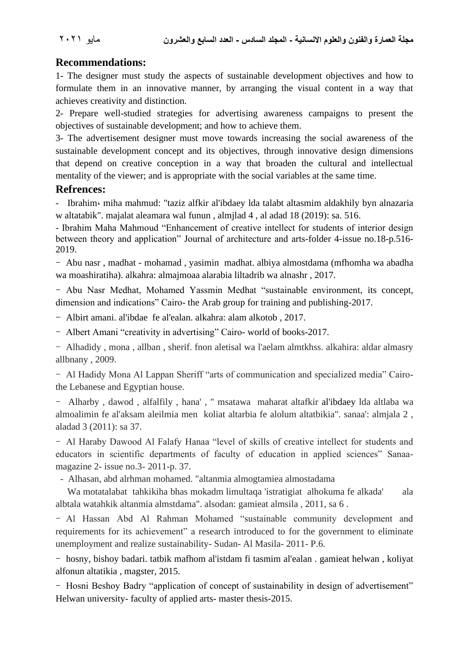# **Recommendations:**

1- The designer must study the aspects of sustainable development objectives and how to formulate them in an innovative manner, by arranging the visual content in a way that achieves creativity and distinction.

2- Prepare well-studied strategies for advertising awareness campaigns to present the objectives of sustainable development; and how to achieve them.

3- The advertisement designer must move towards increasing the social awareness of the sustainable development concept and its objectives, through innovative design dimensions that depend on creative conception in a way that broaden the cultural and intellectual mentality of the viewer; and is appropriate with the social variables at the same time.

#### **Refrences:**

*-* Ibrahim، miha mahmud: "taziz alfkir al'ibdaey lda talabt altasmim aldakhily byn alnazaria w altatabik". majalat aleamara wal funun , almjlad 4 , al adad 18 (2019): sa. 516.

- Ibrahim Maha Mahmoud "Enhancement of creative intellect for students of interior design between theory and application" Journal of architecture and arts-folder 4-issue no.18-p.516- 2019.

- Abu nasr , madhat - mohamad , yasimin madhat. albiya almostdama (mfhomha wa abadha wa moashiratiha). alkahra: almajmoaa alarabia liltadrib wa alnashr , 2017.

- Abu Nasr Medhat, Mohamed Yassmin Medhat "sustainable environment, its concept, dimension and indications" Cairo- the Arab group for training and publishing-2017.

- Albirt amani. al'ibdae fe al'ealan. alkahra: alam alkotob , 2017.

- Albert Amani "creativity in advertising" Cairo- world of books-2017.

- Alhadidy , mona , allban , sherif. fnon aletisal wa l'aelam almtkhss. alkahira: aldar almasry allbnany , 2009.

- Al Hadidy Mona Al Lappan Sheriff "arts of communication and specialized media" Cairothe Lebanese and Egyptian house.

- Alharby , dawod , alfalfily , hana' , " msatawa maharat altafkir al'ibdaey lda altlaba wa almoalimin fe al'aksam aleilmia men koliat altarbia fe alolum altatbikia". sanaa': almjala 2 , aladad 3 (2011): sa 37.

- Al Haraby Dawood Al Falafy Hanaa "level of skills of creative intellect for students and educators in scientific departments of faculty of education in applied sciences" Sanaamagazine 2- issue no.3- 2011-p. 37.

- Alhasan, abd alrhman mohamed. "altanmia almogtamiea almostadama

Wa motatalabat tahkikiha bhas mokadm limultaqa 'istratigiat alhokuma fe alkada' ala albtala watahkik altanmia almstdama". alsodan: gamieat almsila , 2011, sa 6 .

- Al Hassan Abd Al Rahman Mohamed "sustainable community development and requirements for its achievement" a research introduced to for the government to eliminate unemployment and realize sustainability- Sudan- Al Masila- 2011- P.6.

- hosny, bishoy badari. tatbik mafhom al'istdam fi tasmim al'ealan . gamieat helwan , koliyat alfonun altatikia , magster, 2015.

- Hosni Beshoy Badry "application of concept of sustainability in design of advertisement" Helwan university- faculty of applied arts- master thesis-2015.